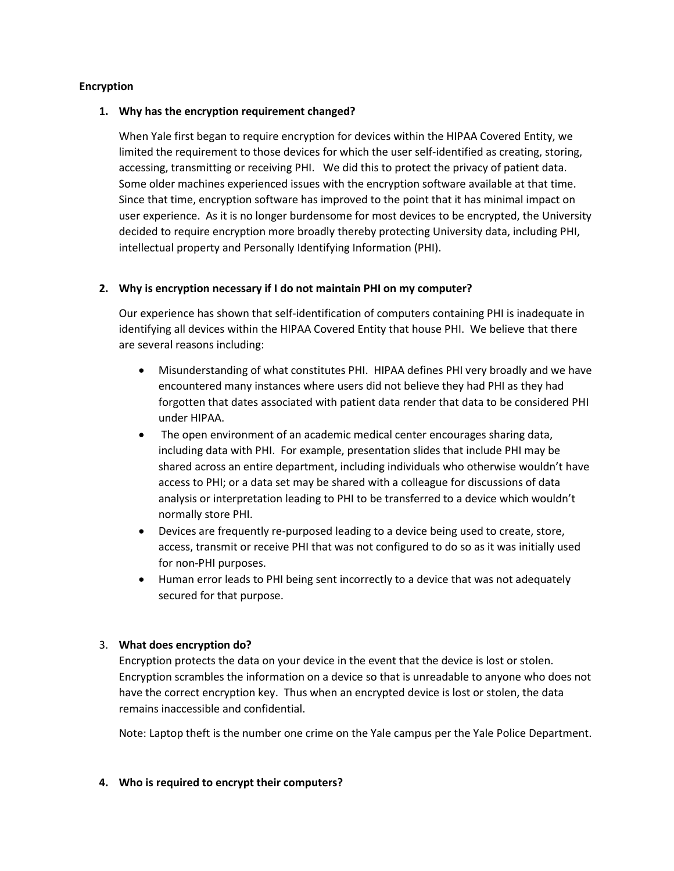### **Encryption**

### **1. Why has the encryption requirement changed?**

When Yale first began to require encryption for devices within the HIPAA Covered Entity, we limited the requirement to those devices for which the user self-identified as creating, storing, accessing, transmitting or receiving PHI. We did this to protect the privacy of patient data. Some older machines experienced issues with the encryption software available at that time. Since that time, encryption software has improved to the point that it has minimal impact on user experience. As it is no longer burdensome for most devices to be encrypted, the University decided to require encryption more broadly thereby protecting University data, including PHI, intellectual property and Personally Identifying Information (PHI).

# **2. Why is encryption necessary if I do not maintain PHI on my computer?**

Our experience has shown that self-identification of computers containing PHI is inadequate in identifying all devices within the HIPAA Covered Entity that house PHI. We believe that there are several reasons including:

- Misunderstanding of what constitutes PHI. HIPAA defines PHI very broadly and we have encountered many instances where users did not believe they had PHI as they had forgotten that dates associated with patient data render that data to be considered PHI under HIPAA.
- The open environment of an academic medical center encourages sharing data, including data with PHI. For example, presentation slides that include PHI may be shared across an entire department, including individuals who otherwise wouldn't have access to PHI; or a data set may be shared with a colleague for discussions of data analysis or interpretation leading to PHI to be transferred to a device which wouldn't normally store PHI.
- Devices are frequently re-purposed leading to a device being used to create, store, access, transmit or receive PHI that was not configured to do so as it was initially used for non-PHI purposes.
- Human error leads to PHI being sent incorrectly to a device that was not adequately secured for that purpose.

# 3. **What does encryption do?**

Encryption protects the data on your device in the event that the device is lost or stolen. Encryption scrambles the information on a device so that is unreadable to anyone who does not have the correct encryption key. Thus when an encrypted device is lost or stolen, the data remains inaccessible and confidential.

Note: Laptop theft is the number one crime on the Yale campus per the Yale Police Department.

### **4. Who is required to encrypt their computers?**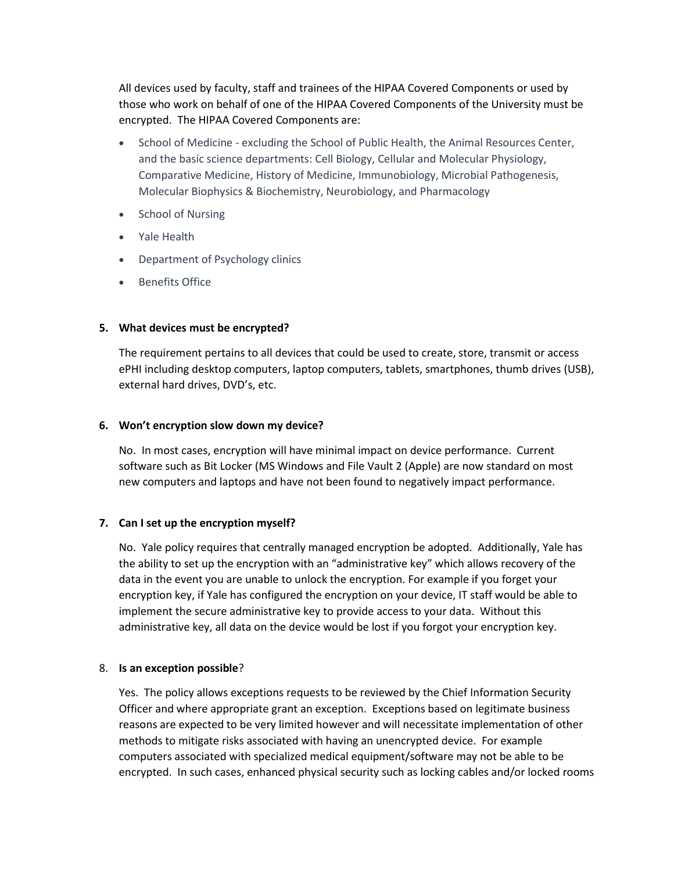All devices used by faculty, staff and trainees of the HIPAA Covered Components or used by those who work on behalf of one of the HIPAA Covered Components of the University must be encrypted. The HIPAA Covered Components are:

- School of Medicine excluding the School of Public Health, the Animal Resources Center, and the basic science departments: Cell Biology, Cellular and Molecular Physiology, Comparative Medicine, History of Medicine, Immunobiology, Microbial Pathogenesis, Molecular Biophysics & Biochemistry, Neurobiology, and Pharmacology
- School of Nursing
- Yale Health
- Department of Psychology clinics
- **•** Benefits Office

# **5. What devices must be encrypted?**

The requirement pertains to all devices that could be used to create, store, transmit or access ePHI including desktop computers, laptop computers, tablets, smartphones, thumb drives (USB), external hard drives, DVD's, etc.

# **6. Won't encryption slow down my device?**

No. In most cases, encryption will have minimal impact on device performance. Current software such as Bit Locker (MS Windows and File Vault 2 (Apple) are now standard on most new computers and laptops and have not been found to negatively impact performance.

# **7. Can I set up the encryption myself?**

No. Yale policy requires that centrally managed encryption be adopted. Additionally, Yale has the ability to set up the encryption with an "administrative key" which allows recovery of the data in the event you are unable to unlock the encryption. For example if you forget your encryption key, if Yale has configured the encryption on your device, IT staff would be able to implement the secure administrative key to provide access to your data. Without this administrative key, all data on the device would be lost if you forgot your encryption key.

### 8. **Is an exception possible**?

Yes. The policy allows exceptions requests to be reviewed by the Chief Information Security Officer and where appropriate grant an exception. Exceptions based on legitimate business reasons are expected to be very limited however and will necessitate implementation of other methods to mitigate risks associated with having an unencrypted device. For example computers associated with specialized medical equipment/software may not be able to be encrypted. In such cases, enhanced physical security such as locking cables and/or locked rooms